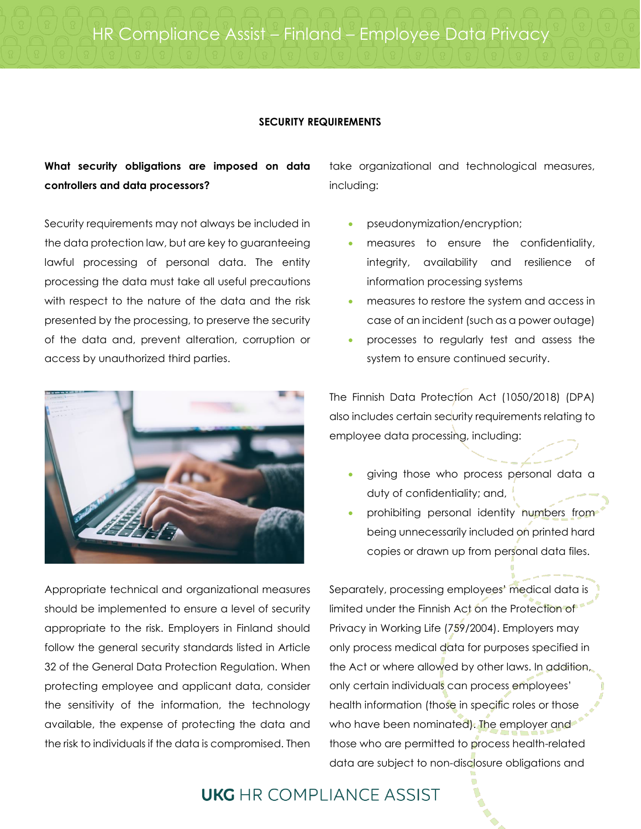#### **SECURITY REQUIREMENTS**

#### **What security obligations are imposed on data controllers and data processors?**

Security requirements may not always be included in the data protection law, but are key to guaranteeing lawful processing of personal data. The entity processing the data must take all useful precautions with respect to the nature of the data and the risk presented by the processing, to preserve the security of the data and, prevent alteration, corruption or access by unauthorized third parties.



Appropriate technical and organizational measures should be implemented to ensure a level of security appropriate to the risk. Employers in Finland should follow the general security standards listed in Article 32 of the General Data Protection Regulation. When protecting employee and applicant data, consider the sensitivity of the information, the technology available, the expense of protecting the data and the risk to individuals if the data is compromised. Then

take organizational and technological measures, including:

- pseudonymization/encryption;
- measures to ensure the confidentiality, integrity, availability and resilience of information processing systems
- measures to restore the system and access in case of an incident (such as a power outage)
- processes to regularly test and assess the system to ensure continued security.

The Finnish Data Protection Act (1050/2018) (DPA) also includes certain security requirements relating to employee data processing, including:

- giving those who process personal data a duty of confidentiality; and,
- prohibiting personal identity numbers from being unnecessarily included on printed hard copies or drawn up from personal data files.

Separately, processing employees' medical data is limited under the Finnish Act on the Protection of Privacy in Working Life (759/2004). Employers may only process medical data for purposes specified in the Act or where allowed by other laws. In addition, only certain individuals can process employees' health information (those in specific roles or those who have been nominated). The employer and those who are permitted to process health-related data are subject to non-disclosure obligations and

### **UKG** HR COMPLIANCE ASSIST